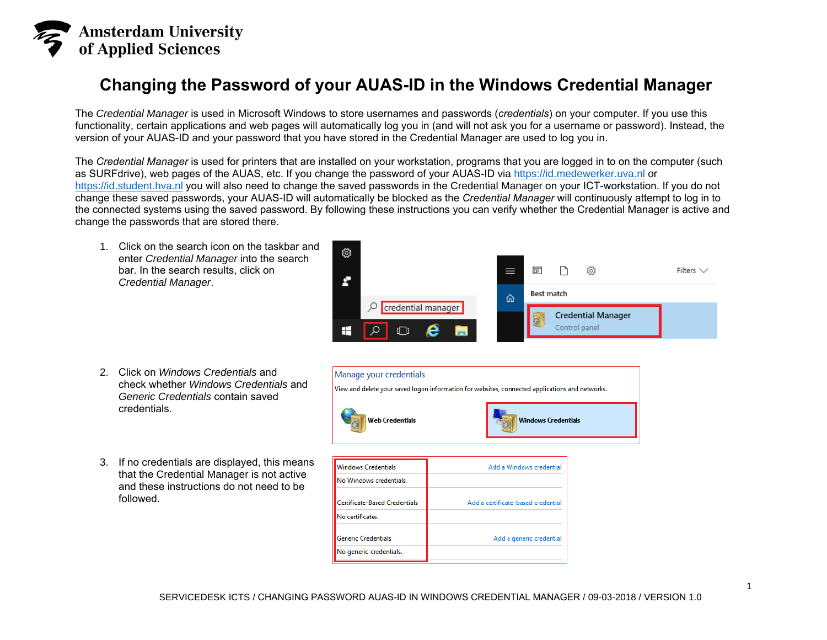

## **Changing the Password of your AUAS-ID in the Windows Credential Manager**

The *Credential Manager* is used in Microsoft Windows to store usernames and passwords (*credentials*) on your computer. If you use this functionality, certain applications and web pages will automatically log you in (and will not ask you for a username or password). Instead, the version of your AUAS-ID and your password that you have stored in the Credential Manager are used to log you in.

The *Credential Manager* is used for printers that are installed on your workstation, programs that you are logged in to on the computer (such [as SURFdrive\), web](https://id.medewerker.uva.nl/) pages of the AUAS, etc. If you change the password of your AUAS-ID via https://id.medewerker.uva.nl or [https://id.student.hva.nl](https://id.student.hva.nl/) you will also need to change the saved passwords in the Credential Manager on your ICT-workstation. If you do not change these saved passwords, your AUAS-ID will automatically be blocked as the *Credential Manager* will continuously attempt to log in to the connected systems using the saved password. By following these instructions you can verify whether the Credential Manager is active and change the passwords that are stored there.

1. Click on the search icon on the taskbar and enter *Credential Manager* into the search bar. In the search results, click on *Credential Manager*.



Add a generic credential

- 2. Click on *Windows Credentials* and check whether *Windows Credentials* and *Generic Credentials* contain saved credentials.
- 3. If no credentials are displayed, this means that the Credential Manager is not active and these instructions do not need to be followed.



No certificates.

**Generic Credentials** 

No generic credentials.